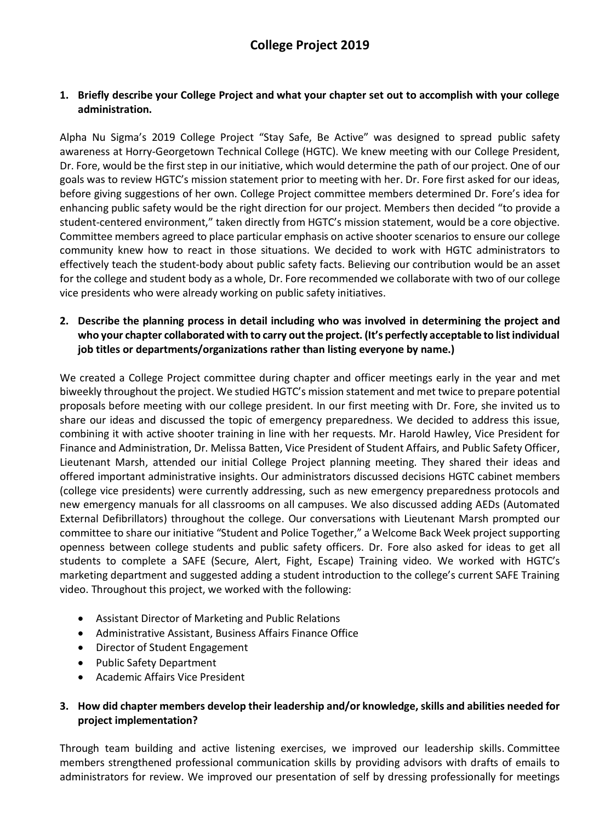## **1. Briefly describe your College Project and what your chapter set out to accomplish with your college administration.**

Alpha Nu Sigma's 2019 College Project "Stay Safe, Be Active" was designed to spread public safety awareness at Horry-Georgetown Technical College (HGTC). We knew meeting with our College President, Dr. Fore, would be the first step in our initiative, which would determine the path of our project. One of our goals was to review HGTC's mission statement prior to meeting with her. Dr. Fore first asked for our ideas, before giving suggestions of her own. College Project committee members determined Dr. Fore's idea for enhancing public safety would be the right direction for our project. Members then decided "to provide a student-centered environment," taken directly from HGTC's mission statement, would be a core objective. Committee members agreed to place particular emphasis on active shooter scenarios to ensure our college community knew how to react in those situations. We decided to work with HGTC administrators to effectively teach the student-body about public safety facts. Believing our contribution would be an asset for the college and student body as a whole, Dr. Fore recommended we collaborate with two of our college vice presidents who were already working on public safety initiatives.

### **2. Describe the planning process in detail including who was involved in determining the project and who your chapter collaborated with to carry out the project. (It's perfectly acceptable to list individual job titles or departments/organizations rather than listing everyone by name.)**

We created a College Project committee during chapter and officer meetings early in the year and met biweekly throughout the project. We studied HGTC's mission statement and met twice to prepare potential proposals before meeting with our college president. In our first meeting with Dr. Fore, she invited us to share our ideas and discussed the topic of emergency preparedness. We decided to address this issue, combining it with active shooter training in line with her requests. Mr. Harold Hawley, Vice President for Finance and Administration, Dr. Melissa Batten, Vice President of Student Affairs, and Public Safety Officer, Lieutenant Marsh, attended our initial College Project planning meeting. They shared their ideas and offered important administrative insights. Our administrators discussed decisions HGTC cabinet members (college vice presidents) were currently addressing, such as new emergency preparedness protocols and new emergency manuals for all classrooms on all campuses. We also discussed adding AEDs (Automated External Defibrillators) throughout the college. Our conversations with Lieutenant Marsh prompted our committee to share our initiative "Student and Police Together," a Welcome Back Week project supporting openness between college students and public safety officers. Dr. Fore also asked for ideas to get all students to complete a SAFE (Secure, Alert, Fight, Escape) Training video. We worked with HGTC's marketing department and suggested adding a student introduction to the college's current SAFE Training video. Throughout this project, we worked with the following:

- Assistant Director of Marketing and Public Relations
- Administrative Assistant, Business Affairs Finance Office
- Director of Student Engagement
- Public Safety Department
- Academic Affairs Vice President

### **3. How did chapter members develop their leadership and/or knowledge, skills and abilities needed for project implementation?**

Through team building and active listening exercises, we improved our leadership skills. Committee members strengthened professional communication skills by providing advisors with drafts of emails to administrators for review. We improved our presentation of self by dressing professionally for meetings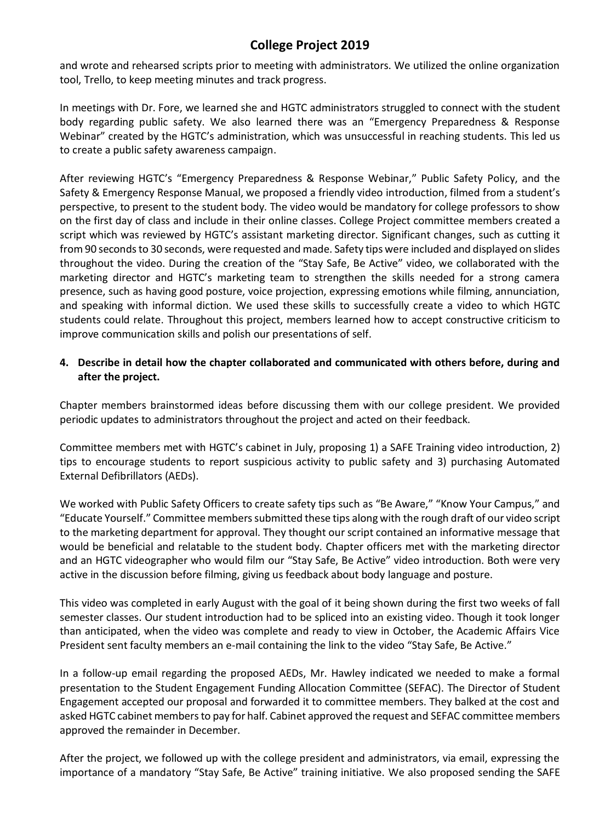## **College Project 2019**

and wrote and rehearsed scripts prior to meeting with administrators. We utilized the online organization tool, Trello, to keep meeting minutes and track progress.

In meetings with Dr. Fore, we learned she and HGTC administrators struggled to connect with the student body regarding public safety. We also learned there was an "Emergency Preparedness & Response Webinar" created by the HGTC's administration, which was unsuccessful in reaching students. This led us to create a public safety awareness campaign.

After reviewing HGTC's "Emergency Preparedness & Response Webinar," Public Safety Policy, and the Safety & Emergency Response Manual, we proposed a friendly video introduction, filmed from a student's perspective, to present to the student body. The video would be mandatory for college professors to show on the first day of class and include in their online classes. College Project committee members created a script which was reviewed by HGTC's assistant marketing director. Significant changes, such as cutting it from 90 seconds to 30 seconds, were requested and made. Safety tips were included and displayed on slides throughout the video. During the creation of the "Stay Safe, Be Active" video, we collaborated with the marketing director and HGTC's marketing team to strengthen the skills needed for a strong camera presence, such as having good posture, voice projection, expressing emotions while filming, annunciation, and speaking with informal diction. We used these skills to successfully create a video to which HGTC students could relate. Throughout this project, members learned how to accept constructive criticism to improve communication skills and polish our presentations of self.

## **4. Describe in detail how the chapter collaborated and communicated with others before, during and after the project.**

Chapter members brainstormed ideas before discussing them with our college president. We provided periodic updates to administrators throughout the project and acted on their feedback.

Committee members met with HGTC's cabinet in July, proposing 1) a SAFE Training video introduction, 2) tips to encourage students to report suspicious activity to public safety and 3) purchasing Automated External Defibrillators (AEDs).

We worked with Public Safety Officers to create safety tips such as "Be Aware," "Know Your Campus," and "Educate Yourself." Committee members submitted these tips along with the rough draft of our video script to the marketing department for approval. They thought our script contained an informative message that would be beneficial and relatable to the student body. Chapter officers met with the marketing director and an HGTC videographer who would film our "Stay Safe, Be Active" video introduction. Both were very active in the discussion before filming, giving us feedback about body language and posture.

This video was completed in early August with the goal of it being shown during the first two weeks of fall semester classes. Our student introduction had to be spliced into an existing video. Though it took longer than anticipated, when the video was complete and ready to view in October, the Academic Affairs Vice President sent faculty members an e-mail containing the link to the video "Stay Safe, Be Active."

In a follow-up email regarding the proposed AEDs, Mr. Hawley indicated we needed to make a formal presentation to the Student Engagement Funding Allocation Committee (SEFAC). The Director of Student Engagement accepted our proposal and forwarded it to committee members. They balked at the cost and asked HGTC cabinet members to pay for half. Cabinet approved the request and SEFAC committee members approved the remainder in December.

After the project, we followed up with the college president and administrators, via email, expressing the importance of a mandatory "Stay Safe, Be Active" training initiative. We also proposed sending the SAFE